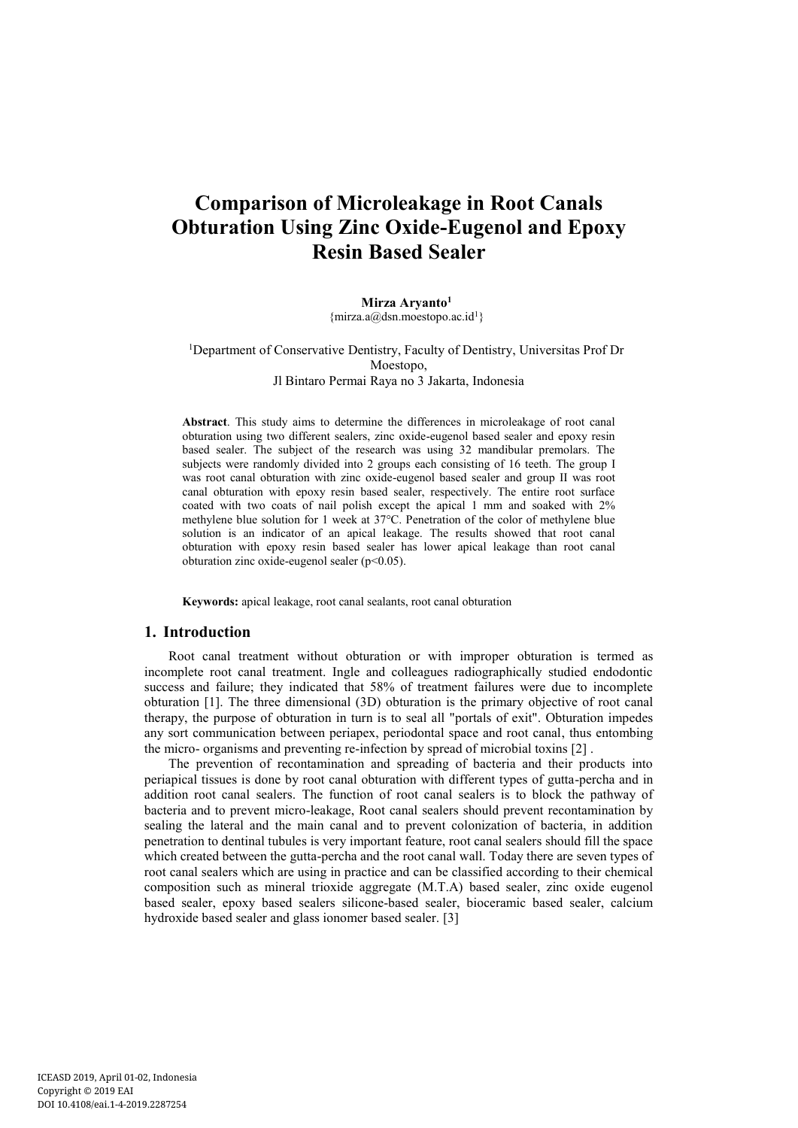# **Comparison of Microleakage in Root Canals Obturation Using Zinc Oxide-Eugenol and Epoxy Resin Based Sealer**

#### **Mirza Aryanto<sup>1</sup>**

 ${mirza.a@dsn.moestopo.ac.id<sup>1</sup>}$ 

<sup>1</sup>Department of Conservative Dentistry, Faculty of Dentistry, Universitas Prof Dr Moestopo, Jl Bintaro Permai Raya no 3 Jakarta, Indonesia

**Abstract**. This study aims to determine the differences in microleakage of root canal obturation using two different sealers, zinc oxide-eugenol based sealer and epoxy resin based sealer. The subject of the research was using 32 mandibular premolars. The subjects were randomly divided into 2 groups each consisting of 16 teeth. The group I was root canal obturation with zinc oxide-eugenol based sealer and group II was root canal obturation with epoxy resin based sealer, respectively. The entire root surface coated with two coats of nail polish except the apical 1 mm and soaked with 2% methylene blue solution for 1 week at 37°C. Penetration of the color of methylene blue solution is an indicator of an apical leakage. The results showed that root canal obturation with epoxy resin based sealer has lower apical leakage than root canal obturation zinc oxide-eugenol sealer (p<0.05).

**Keywords:** apical leakage, root canal sealants, root canal obturation

### **1. Introduction**

Root canal treatment without obturation or with improper obturation is termed as incomplete root canal treatment. Ingle and colleagues radiographically studied endodontic success and failure; they indicated that 58% of treatment failures were due to incomplete obturation [1].The three dimensional (3D) obturation is the primary objective of root canal therapy, the purpose of obturation in turn is to seal all "portals of exit". Obturation impedes any sort communication between periapex, periodontal space and root canal, thus entombing the micro- organisms and preventing re-infection by spread of microbial toxins [2] .

The prevention of recontamination and spreading of bacteria and their products into periapical tissues is done by root canal obturation with different types of gutta-percha and in addition root canal sealers. The function of root canal sealers is to block the pathway of bacteria and to prevent micro-leakage, Root canal sealers should prevent recontamination by sealing the lateral and the main canal and to prevent colonization of bacteria, in addition penetration to dentinal tubules is very important feature, root canal sealers should fill the space which created between the gutta-percha and the root canal wall. Today there are seven types of root canal sealers which are using in practice and can be classified according to their chemical composition such as mineral trioxide aggregate (M.T.A) based sealer, zinc oxide eugenol based sealer, epoxy based sealers silicone-based sealer, bioceramic based sealer, calcium hydroxide based sealer and glass ionomer based sealer. [3]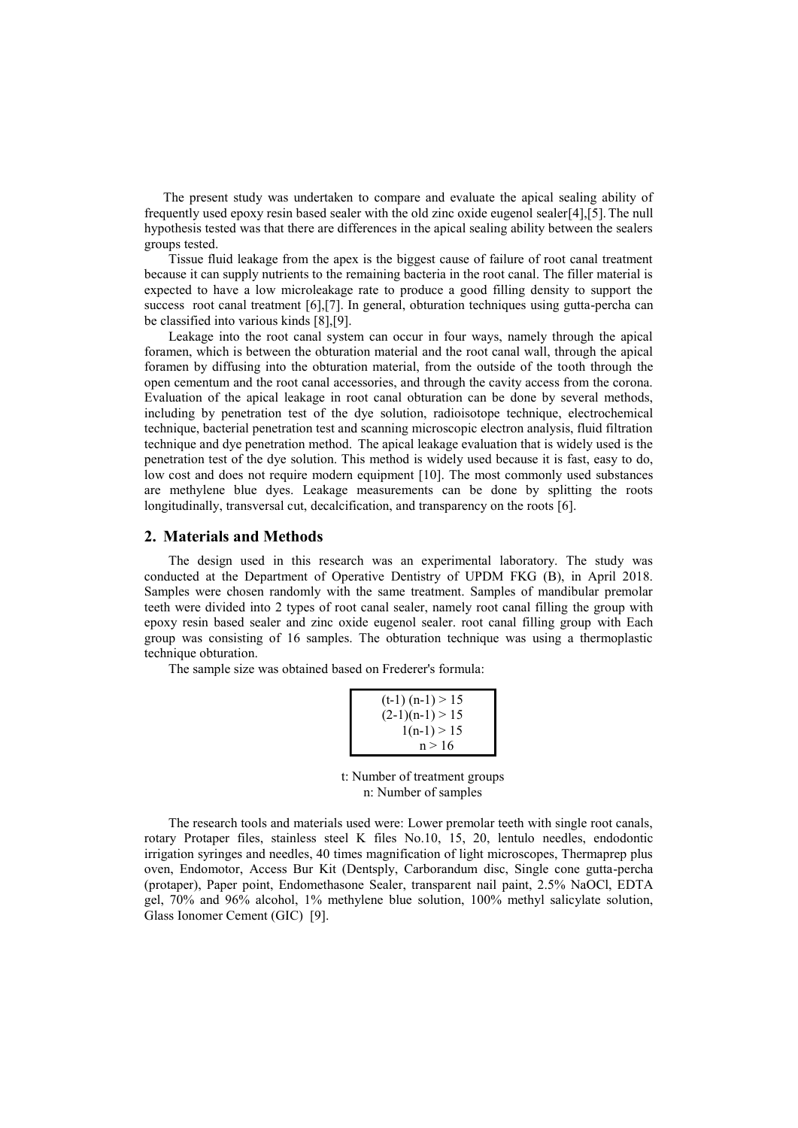The present study was undertaken to compare and evaluate the apical sealing ability of frequently used epoxy resin based sealer with the old zinc oxide eugenol sealer[4],[5].The null hypothesis tested was that there are differences in the apical sealing ability between the sealers groups tested.

Tissue fluid leakage from the apex is the biggest cause of failure of root canal treatment because it can supply nutrients to the remaining bacteria in the root canal. The filler material is expected to have a low microleakage rate to produce a good filling density to support the success root canal treatment [6],[7]. In general, obturation techniques using gutta-percha can be classified into various kinds [8],[9].

Leakage into the root canal system can occur in four ways, namely through the apical foramen, which is between the obturation material and the root canal wall, through the apical foramen by diffusing into the obturation material, from the outside of the tooth through the open cementum and the root canal accessories, and through the cavity access from the corona. Evaluation of the apical leakage in root canal obturation can be done by several methods, including by penetration test of the dye solution, radioisotope technique, electrochemical technique, bacterial penetration test and scanning microscopic electron analysis, fluid filtration technique and dye penetration method. The apical leakage evaluation that is widely used is the penetration test of the dye solution. This method is widely used because it is fast, easy to do, low cost and does not require modern equipment [10]. The most commonly used substances are methylene blue dyes. Leakage measurements can be done by splitting the roots longitudinally, transversal cut, decalcification, and transparency on the roots [6].

# **2. Materials and Methods**

The design used in this research was an experimental laboratory. The study was conducted at the Department of Operative Dentistry of UPDM FKG (B), in April 2018. Samples were chosen randomly with the same treatment. Samples of mandibular premolar teeth were divided into 2 types of root canal sealer, namely root canal filling the group with epoxy resin based sealer and zinc oxide eugenol sealer. root canal filling group with Each group was consisting of 16 samples. The obturation technique was using a thermoplastic technique obturation.

The sample size was obtained based on Frederer's formula:

| $(t-1)$ $(n-1) > 15$ |  |
|----------------------|--|
| $(2-1)(n-1) > 15$    |  |
| $1(n-1) > 15$        |  |
| n > 16               |  |

t: Number of treatment groups n: Number of samples

The research tools and materials used were: Lower premolar teeth with single root canals, rotary Protaper files, stainless steel K files No.10, 15, 20, lentulo needles, endodontic irrigation syringes and needles, 40 times magnification of light microscopes, Thermaprep plus oven, Endomotor, Access Bur Kit (Dentsply, Carborandum disc, Single cone gutta-percha (protaper), Paper point, Endomethasone Sealer, transparent nail paint, 2.5% NaOCl, EDTA gel, 70% and 96% alcohol, 1% methylene blue solution, 100% methyl salicylate solution, Glass Ionomer Cement (GIC) [9].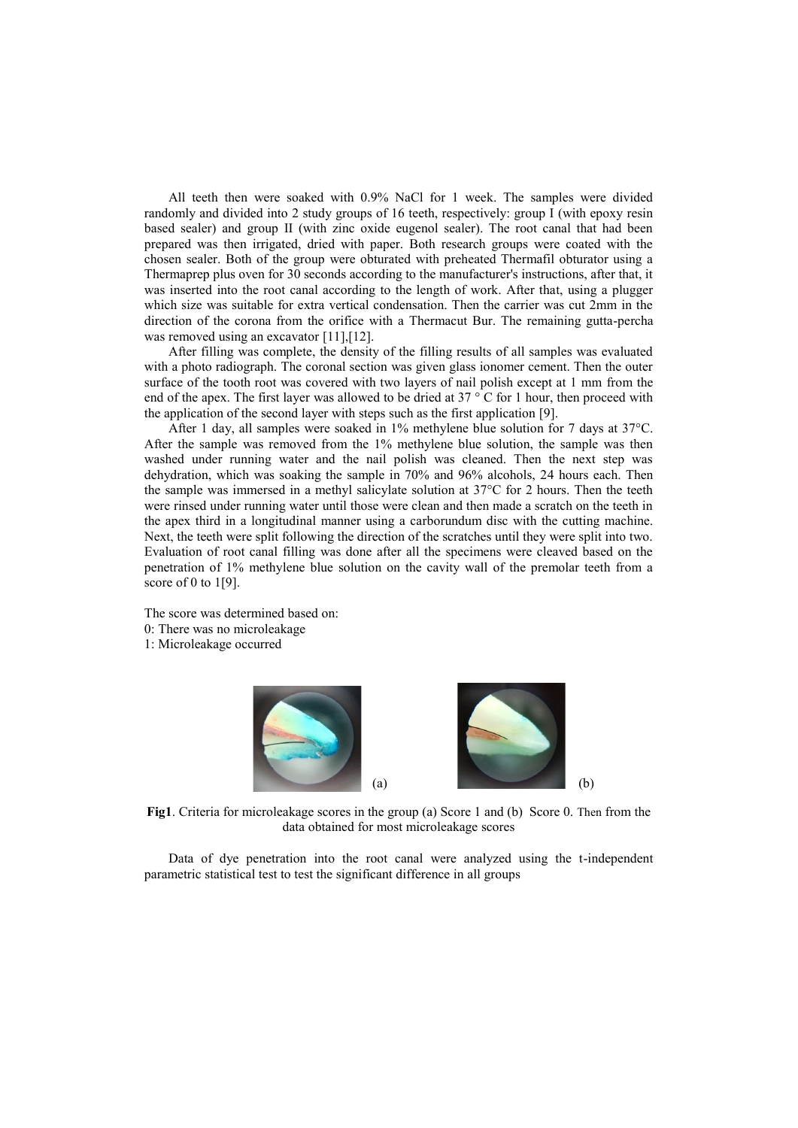All teeth then were soaked with 0.9% NaCl for 1 week. The samples were divided randomly and divided into 2 study groups of 16 teeth, respectively: group I (with epoxy resin based sealer) and group II (with zinc oxide eugenol sealer). The root canal that had been prepared was then irrigated, dried with paper. Both research groups were coated with the chosen sealer. Both of the group were obturated with preheated Thermafil obturator using a Thermaprep plus oven for 30 seconds according to the manufacturer's instructions, after that, it was inserted into the root canal according to the length of work. After that, using a plugger which size was suitable for extra vertical condensation. Then the carrier was cut 2mm in the direction of the corona from the orifice with a Thermacut Bur. The remaining gutta-percha was removed using an excavator [11], [12].

After filling was complete, the density of the filling results of all samples was evaluated with a photo radiograph. The coronal section was given glass ionomer cement. Then the outer surface of the tooth root was covered with two layers of nail polish except at 1 mm from the end of the apex. The first layer was allowed to be dried at  $37 \degree$  C for 1 hour, then proceed with the application of the second layer with steps such as the first application [9].

After 1 day, all samples were soaked in 1% methylene blue solution for 7 days at 37°C. After the sample was removed from the 1% methylene blue solution, the sample was then washed under running water and the nail polish was cleaned. Then the next step was dehydration, which was soaking the sample in 70% and 96% alcohols, 24 hours each. Then the sample was immersed in a methyl salicylate solution at 37°C for 2 hours. Then the teeth were rinsed under running water until those were clean and then made a scratch on the teeth in the apex third in a longitudinal manner using a carborundum disc with the cutting machine. Next, the teeth were split following the direction of the scratches until they were split into two. Evaluation of root canal filling was done after all the specimens were cleaved based on the penetration of 1% methylene blue solution on the cavity wall of the premolar teeth from a score of 0 to  $1[9]$ .

The score was determined based on: 0: There was no microleakage 1: Microleakage occurred



**Fig1**. Criteria for microleakage scores in the group (a) Score 1 and (b) Score 0. Then from the data obtained for most microleakage scores

Data of dye penetration into the root canal were analyzed using the t-independent parametric statistical test to test the significant difference in all groups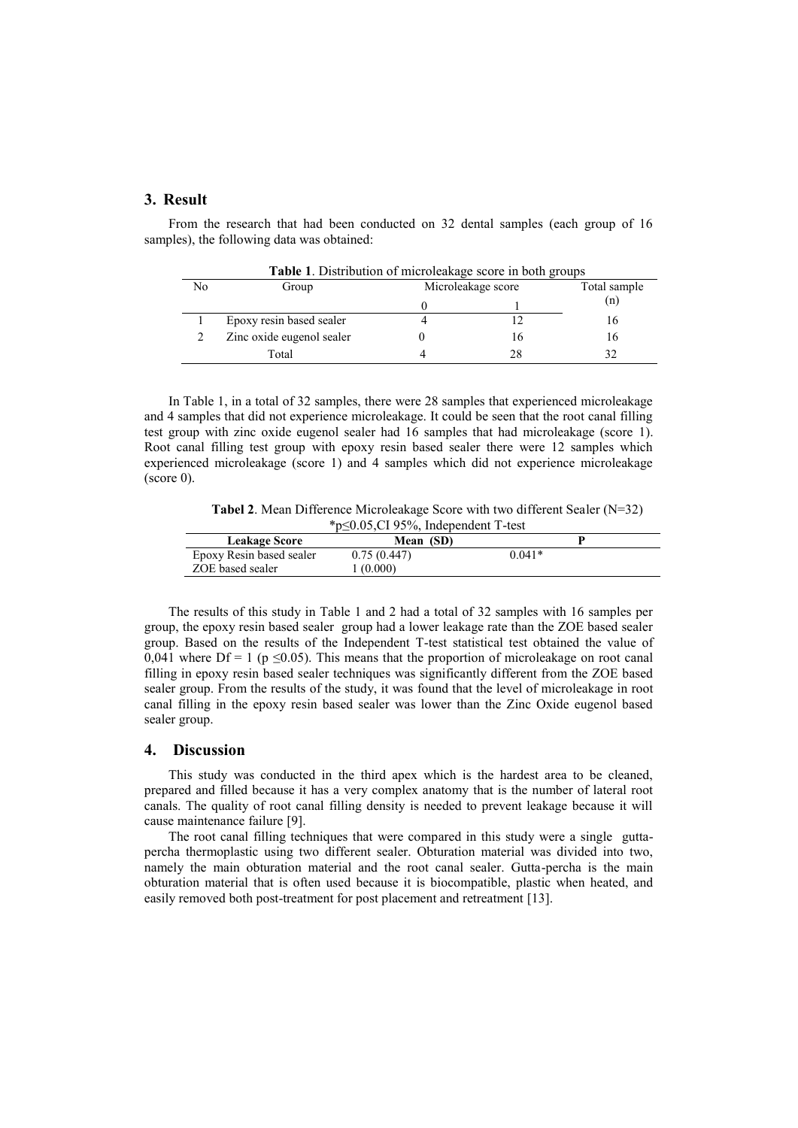# **3. Result**

From the research that had been conducted on 32 dental samples (each group of 16 samples), the following data was obtained:

| No | Group                     | Microleakage score |    | Total sample |
|----|---------------------------|--------------------|----|--------------|
|    |                           |                    |    | (n)          |
|    | Epoxy resin based sealer  |                    |    | 16           |
|    | Zinc oxide eugenol sealer |                    | ١h | 16           |
|    | Total                     |                    | 28 | 32           |

In Table 1, in a total of 32 samples, there were 28 samples that experienced microleakage and 4 samples that did not experience microleakage. It could be seen that the root canal filling test group with zinc oxide eugenol sealer had 16 samples that had microleakage (score 1). Root canal filling test group with epoxy resin based sealer there were 12 samples which experienced microleakage (score 1) and 4 samples which did not experience microleakage  $(\text{score } 0).$ 

**Tabel 2**. Mean Difference Microleakage Score with two different Sealer (N=32) \*p≤0.05,CI 95%, Independent T-test

| <b>Leakage Score</b>     | Mean (SD)   |          |  |
|--------------------------|-------------|----------|--|
| Epoxy Resin based sealer | 0.75(0.447) | $0.041*$ |  |
| ZOE based sealer         | (0.000)     |          |  |

The results of this study in Table 1 and 2 had a total of 32 samples with 16 samples per group, the epoxy resin based sealer group had a lower leakage rate than the ZOE based sealer group. Based on the results of the Independent T-test statistical test obtained the value of 0.041 where  $Df = 1$  (p  $\leq 0.05$ ). This means that the proportion of microleakage on root canal filling in epoxy resin based sealer techniques was significantly different from the ZOE based sealer group. From the results of the study, it was found that the level of microleakage in root canal filling in the epoxy resin based sealer was lower than the Zinc Oxide eugenol based sealer group.

#### **4. Discussion**

This study was conducted in the third apex which is the hardest area to be cleaned, prepared and filled because it has a very complex anatomy that is the number of lateral root canals. The quality of root canal filling density is needed to prevent leakage because it will cause maintenance failure [9].

The root canal filling techniques that were compared in this study were a single gutta percha thermoplastic using two different sealer. Obturation material was divided into two, namely the main obturation material and the root canal sealer. Gutta-percha is the main obturation material that is often used because it is biocompatible, plastic when heated, and easily removed both post-treatment for post placement and retreatment [13].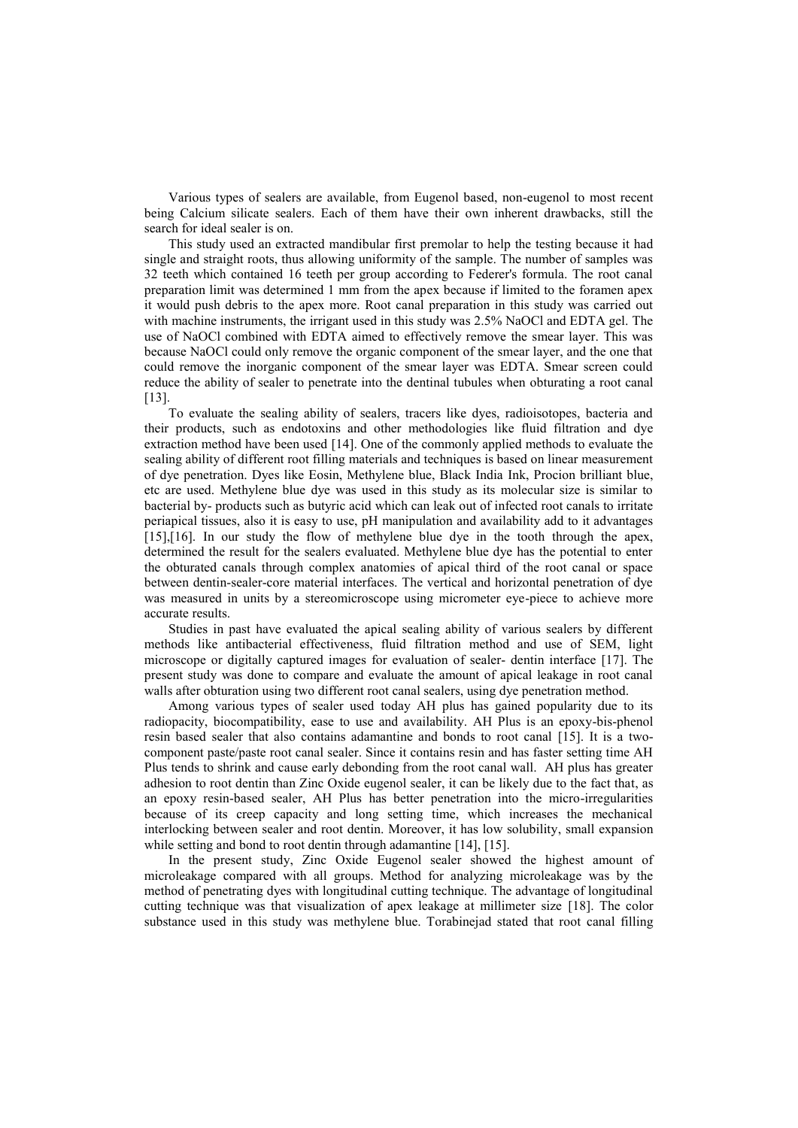Various types of sealers are available, from Eugenol based, non-eugenol to most recent being Calcium silicate sealers. Each of them have their own inherent drawbacks, still the search for ideal sealer is on.

This study used an extracted mandibular first premolar to help the testing because it had single and straight roots, thus allowing uniformity of the sample. The number of samples was 32 teeth which contained 16 teeth per group according to Federer's formula. The root canal preparation limit was determined 1 mm from the apex because if limited to the foramen apex it would push debris to the apex more. Root canal preparation in this study was carried out with machine instruments, the irrigant used in this study was 2.5% NaOCl and EDTA gel. The use of NaOCl combined with EDTA aimed to effectively remove the smear layer. This was because NaOCl could only remove the organic component of the smear layer, and the one that could remove the inorganic component of the smear layer was EDTA. Smear screen could reduce the ability of sealer to penetrate into the dentinal tubules when obturating a root canal [13].To evaluate the sealing ability of sealers, tracers like dyes, radioisotopes, bacteria and

their products, such as endotoxins and other methodologies like fluid filtration and dye extraction method have been used [14]. One of the commonly applied methods to evaluate the sealing ability of different root filling materials and techniques is based on linear measurement of dye penetration. Dyes like Eosin, Methylene blue, Black India Ink, Procion brilliant blue, etc are used. Methylene blue dye was used in this study as its molecular size is similar to bacterial by- products such as butyric acid which can leak out of infected root canals to irritate periapical tissues, also it is easy to use, pH manipulation and availability add to it advantages [15],[16]. In our study the flow of methylene blue dye in the tooth through the apex, determined the result for the sealers evaluated. Methylene blue dye has the potential to enter the obturated canals through complex anatomies of apical third of the root canal or space between dentin-sealer-core material interfaces. The vertical and horizontal penetration of dye was measured in units by a stereomicroscope using micrometer eye-piece to achieve more accurate results.

Studies in past have evaluated the apical sealing ability of various sealers by different methods like antibacterial effectiveness, fluid filtration method and use of SEM, light microscope or digitally captured images for evaluation of sealer- dentin interface [17]. The present study was done to compare and evaluate the amount of apical leakage in root canal walls after obturation using two different root canal sealers, using dye penetration method.

Among various types of sealer used today AH plus has gained popularity due to its radiopacity, biocompatibility, ease to use and availability. AH Plus is an epoxy-bis-phenol resin based sealer that also contains adamantine and bonds to root canal [15]. It is a two component paste/paste root canal sealer. Since it contains resin and has faster setting time AH Plus tends to shrink and cause early debonding from the root canal wall. AH plus has greater adhesion to root dentin than Zinc Oxide eugenol sealer, it can be likely due to the fact that, as an epoxy resin-based sealer, AH Plus has better penetration into the micro-irregularities because of its creep capacity and long setting time, which increases the mechanical interlocking between sealer and root dentin. Moreover, it has low solubility, small expansion while setting and bond to root dentin through adamantine [14], [15].

In the present study, Zinc Oxide Eugenol sealer showed the highest amount of microleakage compared with all groups. Method for analyzing microleakage was by the method of penetrating dyes with longitudinal cutting technique. The advantage of longitudinal cutting technique was that visualization of apex leakage at millimeter size [18]. The color substance used in this study was methylene blue. Torabinejad stated that root canal filling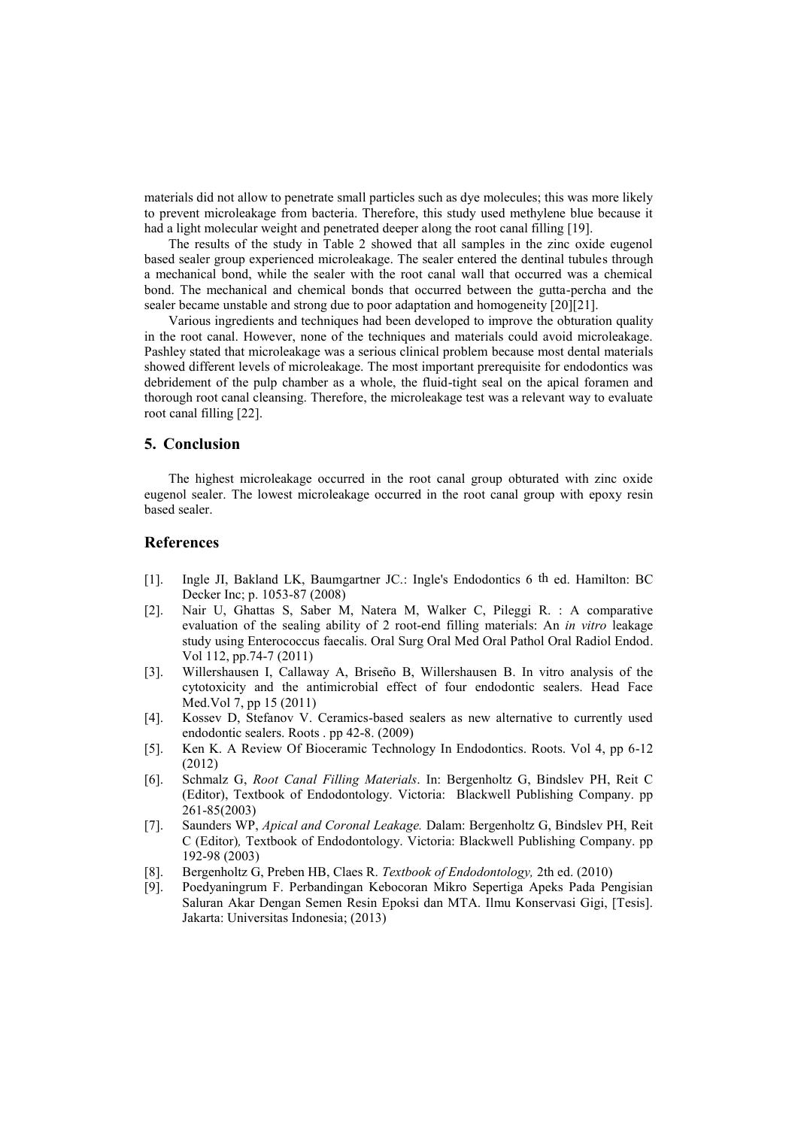materials did not allow to penetrate small particles such as dye molecules; this was more likely to prevent microleakage from bacteria. Therefore, this study used methylene blue because it had a light molecular weight and penetrated deeper along the root canal filling [19].

The results of the study in Table 2 showed that all samples in the zinc oxide eugenol based sealer group experienced microleakage. The sealer entered the dentinal tubules through a mechanical bond, while the sealer with the root canal wall that occurred was a chemical bond. The mechanical and chemical bonds that occurred between the gutta-percha and the sealer became unstable and strong due to poor adaptation and homogeneity [20][21].

Various ingredients and techniques had been developed to improve the obturation quality in the root canal. However, none of the techniques and materials could avoid microleakage. Pashley stated that microleakage was a serious clinical problem because most dental materials showed different levels of microleakage. The most important prerequisite for endodontics was debridement of the pulp chamber as a whole, the fluid-tight seal on the apical foramen and thorough root canal cleansing. Therefore, the microleakage test was a relevant way to evaluate root canal filling [22].

# **5. Conclusion**

The highest microleakage occurred in the root canal group obturated with zinc oxide eugenol sealer. The lowest microleakage occurred in the root canal group with epoxy resin based sealer.

# **References**

- [1]. Ingle JI, Bakland LK, Baumgartner JC.: Ingle's Endodontics 6 th ed. Hamilton: BC Decker Inc; p. 1053-87 (2008)
- [2]. Nair U, Ghattas S, Saber M, Natera M, Walker C, Pileggi R. : A comparative evaluation of the sealing ability of 2 root-end filling materials: An *in vitro* leakage study using Enterococcus faecalis. Oral Surg Oral Med Oral Pathol Oral Radiol Endod. Vol 112, pp.74-7 (2011)
- [3]. Willershausen I, Callaway A, Briseño B, Willershausen B. In vitro analysis of the cytotoxicity and the antimicrobial effect of four endodontic sealers. Head Face Med.Vol 7, pp 15 (2011)
- [4]. Kossev D, Stefanov V. Ceramics-based sealers as new alternative to currently used endodontic sealers. Roots . pp 42-8. (2009)
- [5]. Ken K. A Review Of Bioceramic Technology In Endodontics. Roots. Vol 4, pp 6-12 (2012)
- [6]. Schmalz G, *Root Canal Filling Materials*. In: Bergenholtz G, Bindslev PH, Reit C (Editor), Textbook of Endodontology. Victoria: Blackwell Publishing Company. pp 261-85(2003)
- [7]. Saunders WP, *Apical and Coronal Leakage.* Dalam: Bergenholtz G, Bindslev PH, Reit C (Editor)*,* Textbook of Endodontology. Victoria: Blackwell Publishing Company. pp 192-98 (2003)
- [8]. Bergenholtz G, Preben HB, Claes R. *Textbook of Endodontology,* 2th ed. (2010)
- [9]. Poedyaningrum F. Perbandingan Kebocoran Mikro Sepertiga Apeks Pada Pengisian Saluran Akar Dengan Semen Resin Epoksi dan MTA. Ilmu Konservasi Gigi, [Tesis]. Jakarta: Universitas Indonesia; (2013)